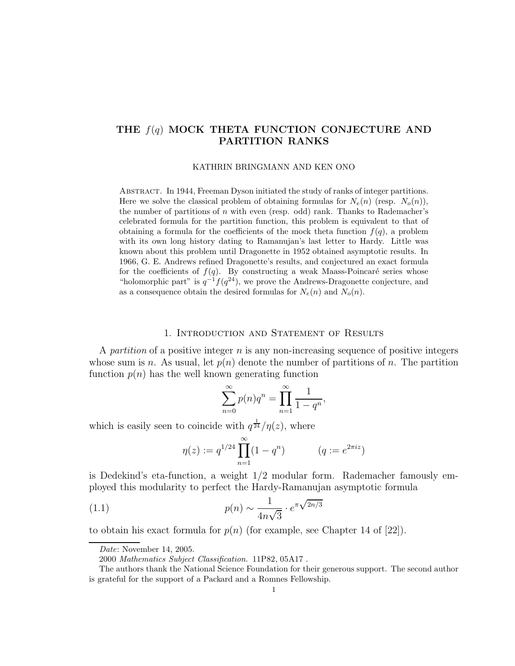# THE  $f(q)$  MOCK THETA FUNCTION CONJECTURE AND PARTITION RANKS

KATHRIN BRINGMANN AND KEN ONO

Abstract. In 1944, Freeman Dyson initiated the study of ranks of integer partitions. Here we solve the classical problem of obtaining formulas for  $N_e(n)$  (resp.  $N_o(n)$ ), the number of partitions of n with even (resp. odd) rank. Thanks to Rademacher's celebrated formula for the partition function, this problem is equivalent to that of obtaining a formula for the coefficients of the mock theta function  $f(q)$ , a problem with its own long history dating to Ramanujan's last letter to Hardy. Little was known about this problem until Dragonette in 1952 obtained asymptotic results. In 1966, G. E. Andrews refined Dragonette's results, and conjectured an exact formula for the coefficients of  $f(q)$ . By constructing a weak Maass-Poincaré series whose "holomorphic part" is  $q^{-1}f(q^{24})$ , we prove the Andrews-Dragonette conjecture, and as a consequence obtain the desired formulas for  $N_e(n)$  and  $N_o(n)$ .

#### 1. Introduction and Statement of Results

A partition of a positive integer  $n$  is any non-increasing sequence of positive integers whose sum is n. As usual, let  $p(n)$  denote the number of partitions of n. The partition function  $p(n)$  has the well known generating function

$$
\sum_{n=0}^{\infty} p(n)q^n = \prod_{n=1}^{\infty} \frac{1}{1-q^n},
$$

which is easily seen to coincide with  $q^{\frac{1}{24}}/\eta(z)$ , where

$$
\eta(z) := q^{1/24} \prod_{n=1}^{\infty} (1 - q^n) \qquad (q := e^{2\pi i z})
$$

is Dedekind's eta-function, a weight 1/2 modular form. Rademacher famously employed this modularity to perfect the Hardy-Ramanujan asymptotic formula

(1.1) 
$$
p(n) \sim \frac{1}{4n\sqrt{3}} \cdot e^{\pi \sqrt{2n/3}}
$$

to obtain his exact formula for  $p(n)$  (for example, see Chapter 14 of [22]).

Date: November 14, 2005.

<sup>2000</sup> Mathematics Subject Classification. 11P82, 05A17 .

The authors thank the National Science Foundation for their generous support. The second author is grateful for the support of a Packard and a Romnes Fellowship.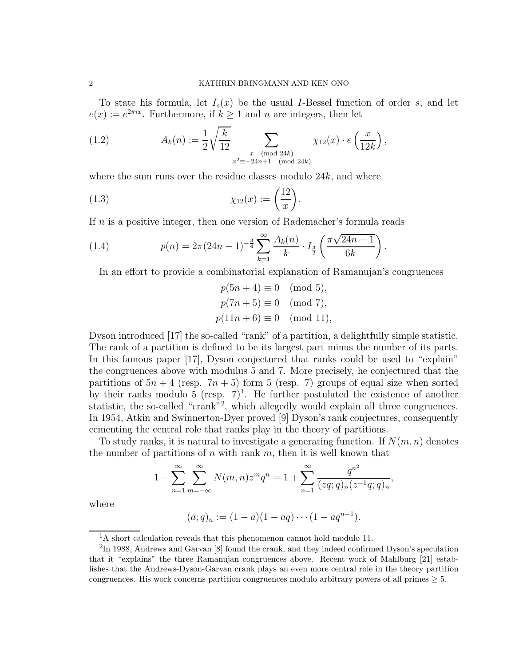To state his formula, let  $I_s(x)$  be the usual I-Bessel function of order s, and let  $e(x) := e^{2\pi ix}$ . Furthermore, if  $k \ge 1$  and n are integers, then let

(1.2) 
$$
A_k(n) := \frac{1}{2} \sqrt{\frac{k}{12}} \sum_{\substack{x \pmod{24k} \\ x^2 \equiv -24n+1 \pmod{24k}}} \chi_{12}(x) \cdot e\left(\frac{x}{12k}\right),
$$

where the sum runs over the residue classes modulo  $24k$ , and where

(1.3) 
$$
\chi_{12}(x) := \left(\frac{12}{x}\right).
$$

If n is a positive integer, then one version of Rademacher's formula reads

(1.4) 
$$
p(n) = 2\pi (24n - 1)^{-\frac{3}{4}} \sum_{k=1}^{\infty} \frac{A_k(n)}{k} \cdot I_{\frac{3}{2}}\left(\frac{\pi \sqrt{24n - 1}}{6k}\right).
$$

In an effort to provide a combinatorial explanation of Ramanujan's congruences

$$
p(5n + 4) \equiv 0 \pmod{5},
$$
  
\n $p(7n + 5) \equiv 0 \pmod{7},$   
\n $p(11n + 6) \equiv 0 \pmod{11},$ 

Dyson introduced [17] the so-called "rank" of a partition, a delightfully simple statistic. The rank of a partition is defined to be its largest part minus the number of its parts. In this famous paper [17], Dyson conjectured that ranks could be used to "explain" the congruences above with modulus 5 and 7. More precisely, he conjectured that the partitions of  $5n + 4$  (resp.  $7n + 5$ ) form 5 (resp. 7) groups of equal size when sorted by their ranks modulo 5 (resp.  $7)^1$ . He further postulated the existence of another statistic, the so-called "crank"<sup>2</sup>, which allegedly would explain all three congruences. In 1954, Atkin and Swinnerton-Dyer proved [9] Dyson's rank conjectures, consequently cementing the central role that ranks play in the theory of partitions.

To study ranks, it is natural to investigate a generating function. If  $N(m, n)$  denotes the number of partitions of  $n$  with rank  $m$ , then it is well known that

$$
1 + \sum_{n=1}^{\infty} \sum_{m=-\infty}^{\infty} N(m,n) z^m q^n = 1 + \sum_{n=1}^{\infty} \frac{q^{n^2}}{(zq;q)_n (z^{-1}q;q)_n},
$$

where

$$
(a;q)_n := (1-a)(1-aq) \cdots (1-aq^{n-1}).
$$

<sup>&</sup>lt;sup>1</sup>A short calculation reveals that this phenomenon cannot hold modulo 11.

 ${}^{2}\text{In}$  1988, Andrews and Garvan [8] found the crank, and they indeed confirmed Dyson's speculation that it "explains" the three Ramanujan congruences above. Recent work of Mahlburg [21] establishes that the Andrews-Dyson-Garvan crank plays an even more central role in the theory partition congruences. His work concerns partition congruences modulo arbitrary powers of all primes  $\geq 5$ .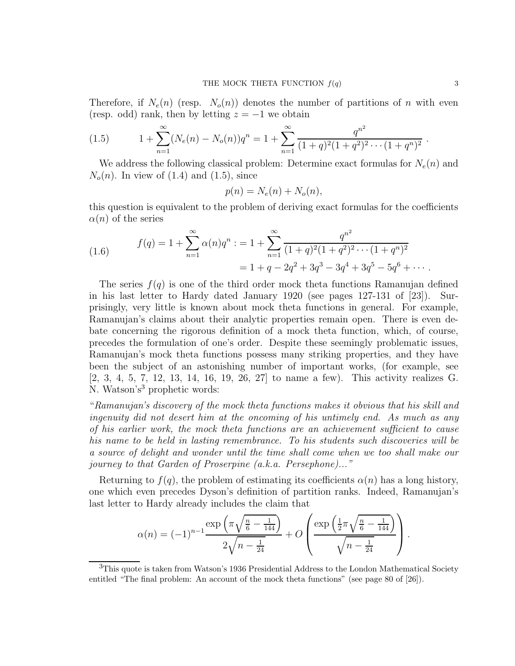Therefore, if  $N_e(n)$  (resp.  $N_o(n)$ ) denotes the number of partitions of n with even (resp. odd) rank, then by letting  $z = -1$  we obtain

$$
(1.5) \t 1 + \sum_{n=1}^{\infty} (N_e(n) - N_o(n))q^n = 1 + \sum_{n=1}^{\infty} \frac{q^{n^2}}{(1+q)^2(1+q^2)^2 \cdots (1+q^n)^2}.
$$

We address the following classical problem: Determine exact formulas for  $N_e(n)$  and  $N<sub>o</sub>(n)$ . In view of (1.4) and (1.5), since

$$
p(n) = N_e(n) + N_o(n),
$$

this question is equivalent to the problem of deriving exact formulas for the coefficients  $\alpha(n)$  of the series

(1.6) 
$$
f(q) = 1 + \sum_{n=1}^{\infty} \alpha(n)q^n : = 1 + \sum_{n=1}^{\infty} \frac{q^{n^2}}{(1+q)^2(1+q^2)^2 \cdots (1+q^n)^2}
$$

$$
= 1 + q - 2q^2 + 3q^3 - 3q^4 + 3q^5 - 5q^6 + \cdots
$$

The series  $f(q)$  is one of the third order mock theta functions Ramanujan defined in his last letter to Hardy dated January 1920 (see pages 127-131 of [23]). Surprisingly, very little is known about mock theta functions in general. For example, Ramanujan's claims about their analytic properties remain open. There is even debate concerning the rigorous definition of a mock theta function, which, of course, precedes the formulation of one's order. Despite these seemingly problematic issues, Ramanujan's mock theta functions possess many striking properties, and they have been the subject of an astonishing number of important works, (for example, see [2, 3, 4, 5, 7, 12, 13, 14, 16, 19, 26, 27] to name a few). This activity realizes G. N. Watson's<sup>3</sup> prophetic words:

"Ramanujan's discovery of the mock theta functions makes it obvious that his skill and ingenuity did not desert him at the oncoming of his untimely end. As much as any of his earlier work, the mock theta functions are an achievement sufficient to cause his name to be held in lasting remembrance. To his students such discoveries will be a source of delight and wonder until the time shall come when we too shall make our journey to that Garden of Proserpine (a.k.a. Persephone)..."

Returning to  $f(q)$ , the problem of estimating its coefficients  $\alpha(n)$  has a long history, one which even precedes Dyson's definition of partition ranks. Indeed, Ramanujan's last letter to Hardy already includes the claim that

$$
\alpha(n) = (-1)^{n-1} \frac{\exp\left(\pi \sqrt{\frac{n}{6} - \frac{1}{144}}\right)}{2\sqrt{n - \frac{1}{24}}} + O\left(\frac{\exp\left(\frac{1}{2}\pi \sqrt{\frac{n}{6} - \frac{1}{144}}\right)}{\sqrt{n - \frac{1}{24}}}\right).
$$

<sup>3</sup>This quote is taken from Watson's 1936 Presidential Address to the London Mathematical Society entitled "The final problem: An account of the mock theta functions" (see page 80 of [26]).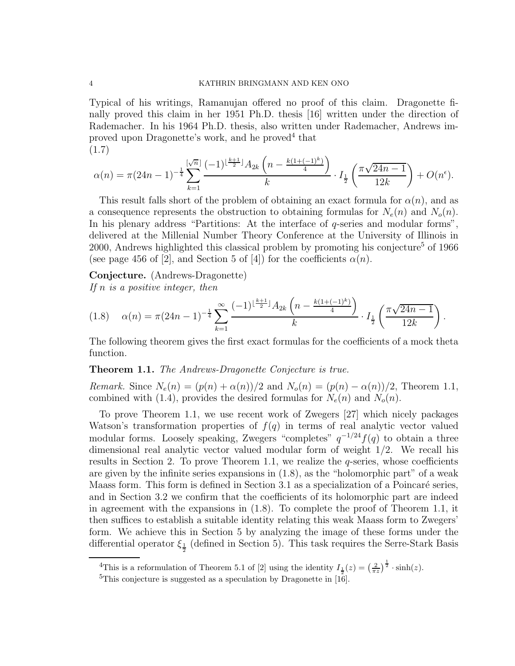Typical of his writings, Ramanujan offered no proof of this claim. Dragonette finally proved this claim in her 1951 Ph.D. thesis [16] written under the direction of Rademacher. In his 1964 Ph.D. thesis, also written under Rademacher, Andrews improved upon Dragonette's work, and he proved<sup>4</sup> that (1.7)

$$
\alpha(n) = \pi (24n - 1)^{-\frac{1}{4}} \sum_{k=1}^{\lfloor \sqrt{n} \rfloor} \frac{(-1)^{\lfloor \frac{k+1}{2} \rfloor} A_{2k} \left(n - \frac{k(1 + (-1)^k)}{4}\right)}{k} \cdot I_{\frac{1}{2}}\left(\frac{\pi \sqrt{24n - 1}}{12k}\right) + O(n^{\epsilon}).
$$

This result falls short of the problem of obtaining an exact formula for  $\alpha(n)$ , and as a consequence represents the obstruction to obtaining formulas for  $N_e(n)$  and  $N_o(n)$ . In his plenary address "Partitions: At the interface of q-series and modular forms", delivered at the Millenial Number Theory Conference at the University of Illinois in 2000, Andrews highlighted this classical problem by promoting his conjecture<sup>5</sup> of 1966 (see page 456 of [2], and Section 5 of [4]) for the coefficients  $\alpha(n)$ .

Conjecture. (Andrews-Dragonette) If  $n$  is a positive integer, then

$$
(1.8) \quad \alpha(n) = \pi (24n - 1)^{-\frac{1}{4}} \sum_{k=1}^{\infty} \frac{(-1)^{\lfloor \frac{k+1}{2} \rfloor} A_{2k} \left( n - \frac{k(1 + (-1)^k)}{4} \right)}{k} \cdot I_{\frac{1}{2}} \left( \frac{\pi \sqrt{24n - 1}}{12k} \right).
$$

The following theorem gives the first exact formulas for the coefficients of a mock theta function.

### Theorem 1.1. The Andrews-Dragonette Conjecture is true.

Remark. Since  $N_e(n) = (p(n) + \alpha(n))/2$  and  $N_o(n) = (p(n) - \alpha(n))/2$ , Theorem 1.1, combined with (1.4), provides the desired formulas for  $N_e(n)$  and  $N_o(n)$ .

To prove Theorem 1.1, we use recent work of Zwegers [27] which nicely packages Watson's transformation properties of  $f(q)$  in terms of real analytic vector valued modular forms. Loosely speaking, Zwegers "completes"  $q^{-1/24}f(q)$  to obtain a three dimensional real analytic vector valued modular form of weight 1/2. We recall his results in Section 2. To prove Theorem 1.1, we realize the  $q$ -series, whose coefficients are given by the infinite series expansions in  $(1.8)$ , as the "holomorphic part" of a weak Maass form. This form is defined in Section 3.1 as a specialization of a Poincaré series, and in Section 3.2 we confirm that the coefficients of its holomorphic part are indeed in agreement with the expansions in (1.8). To complete the proof of Theorem 1.1, it then suffices to establish a suitable identity relating this weak Maass form to Zwegers' form. We achieve this in Section 5 by analyzing the image of these forms under the differential operator  $\xi_{\frac{1}{2}}$  (defined in Section 5). This task requires the Serre-Stark Basis

<sup>&</sup>lt;sup>4</sup>This is a reformulation of Theorem 5.1 of [2] using the identity  $I_{\frac{1}{2}}(z) = \left(\frac{2}{\pi z}\right)^{\frac{1}{2}} \cdot \sinh(z)$ .

 $5$ This conjecture is suggested as a speculation by Dragonette in [16].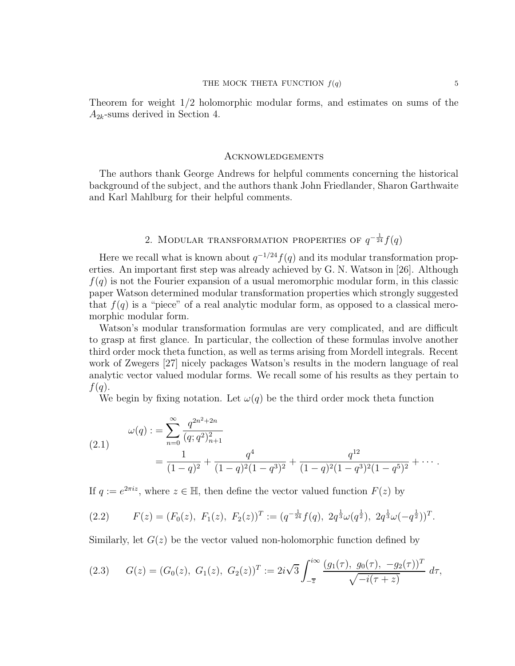Theorem for weight 1/2 holomorphic modular forms, and estimates on sums of the  $A_{2k}$ -sums derived in Section 4.

#### Acknowledgements

The authors thank George Andrews for helpful comments concerning the historical background of the subject, and the authors thank John Friedlander, Sharon Garthwaite and Karl Mahlburg for their helpful comments.

# 2. MODULAR TRANSFORMATION PROPERTIES OF  $q^{-\frac{1}{24}}f(q)$

Here we recall what is known about  $q^{-1/24}f(q)$  and its modular transformation properties. An important first step was already achieved by G. N. Watson in [26]. Although  $f(q)$  is not the Fourier expansion of a usual meromorphic modular form, in this classic paper Watson determined modular transformation properties which strongly suggested that  $f(q)$  is a "piece" of a real analytic modular form, as opposed to a classical meromorphic modular form.

Watson's modular transformation formulas are very complicated, and are difficult to grasp at first glance. In particular, the collection of these formulas involve another third order mock theta function, as well as terms arising from Mordell integrals. Recent work of Zwegers [27] nicely packages Watson's results in the modern language of real analytic vector valued modular forms. We recall some of his results as they pertain to  $f(q)$ .

We begin by fixing notation. Let  $\omega(q)$  be the third order mock theta function

(2.1) 
$$
\omega(q) := \sum_{n=0}^{\infty} \frac{q^{2n^2+2n}}{(q;q^2)_{n+1}^2} = \frac{1}{(1-q)^2} + \frac{q^4}{(1-q)^2(1-q^3)^2} + \frac{q^{12}}{(1-q)^2(1-q^3)^2(1-q^5)^2} + \cdots
$$

If  $q := e^{2\pi i z}$ , where  $z \in \mathbb{H}$ , then define the vector valued function  $F(z)$  by

$$
(2.2) \tF(z) = (F_0(z), F_1(z), F_2(z))^T := (q^{-\frac{1}{24}} f(q), 2q^{\frac{1}{3}} \omega(q^{\frac{1}{2}}), 2q^{\frac{1}{3}} \omega(-q^{\frac{1}{2}}))^T.
$$

Similarly, let  $G(z)$  be the vector valued non-holomorphic function defined by

$$
(2.3) \tG(z) = (G_0(z), G_1(z), G_2(z))^T := 2i\sqrt{3} \int_{-\overline{z}}^{i\infty} \frac{(g_1(\tau), g_0(\tau), -g_2(\tau))^T}{\sqrt{-i(\tau + z)}} d\tau,
$$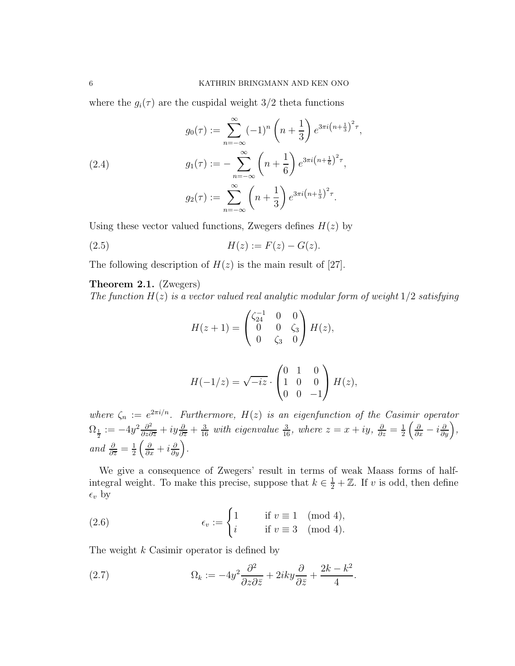where the  $g_i(\tau)$  are the cuspidal weight 3/2 theta functions

(2.4)  
\n
$$
g_0(\tau) := \sum_{n=-\infty}^{\infty} (-1)^n \left( n + \frac{1}{3} \right) e^{3\pi i \left( n + \frac{1}{3} \right)^2 \tau},
$$
\n
$$
g_1(\tau) := -\sum_{n=-\infty}^{\infty} \left( n + \frac{1}{6} \right) e^{3\pi i \left( n + \frac{1}{6} \right)^2 \tau},
$$
\n
$$
g_2(\tau) := \sum_{n=-\infty}^{\infty} \left( n + \frac{1}{3} \right) e^{3\pi i \left( n + \frac{1}{3} \right)^2 \tau}.
$$

Using these vector valued functions, Zwegers defines  $H(z)$  by

(2.5) 
$$
H(z) := F(z) - G(z).
$$

The following description of  $H(z)$  is the main result of [27].

## Theorem 2.1. (Zwegers)

The function  $H(z)$  is a vector valued real analytic modular form of weight  $1/2$  satisfying

$$
H(z+1) = \begin{pmatrix} \zeta_{24}^{-1} & 0 & 0 \\ 0 & 0 & \zeta_3 \\ 0 & \zeta_3 & 0 \end{pmatrix} H(z),
$$

$$
H(-1/z) = \sqrt{-iz} \cdot \begin{pmatrix} 0 & 1 & 0 \\ 1 & 0 & 0 \\ 0 & 0 & -1 \end{pmatrix} H(z),
$$

where  $\zeta_n := e^{2\pi i/n}$ . Furthermore,  $H(z)$  is an eigenfunction of the Casimir operator  $\Omega_{\frac{1}{2}} := -4y^2 \frac{\partial^2}{\partial z \partial \overline{z}} + iy \frac{\partial}{\partial \overline{z}} + \frac{3}{16}$  with eigenvalue  $\frac{3}{16}$ , where  $z = x + iy$ ,  $\frac{\partial}{\partial z} = \frac{1}{2}$ 2  $\left(\frac{\partial}{\partial x} - i \frac{\partial}{\partial y}\right)$ , and  $\frac{\partial}{\partial \overline{z}} = \frac{1}{2}$ 2  $\left(\frac{\partial}{\partial x}+i\frac{\partial}{\partial y}\right)$ .

We give a consequence of Zwegers' result in terms of weak Maass forms of halfintegral weight. To make this precise, suppose that  $k \in \frac{1}{2} + \mathbb{Z}$ . If v is odd, then define  $\epsilon_v$  by

(2.6) 
$$
\epsilon_v := \begin{cases} 1 & \text{if } v \equiv 1 \pmod{4}, \\ i & \text{if } v \equiv 3 \pmod{4}. \end{cases}
$$

The weight k Casimir operator is defined by

(2.7) 
$$
\Omega_k := -4y^2 \frac{\partial^2}{\partial z \partial \bar{z}} + 2iky \frac{\partial}{\partial \bar{z}} + \frac{2k - k^2}{4}.
$$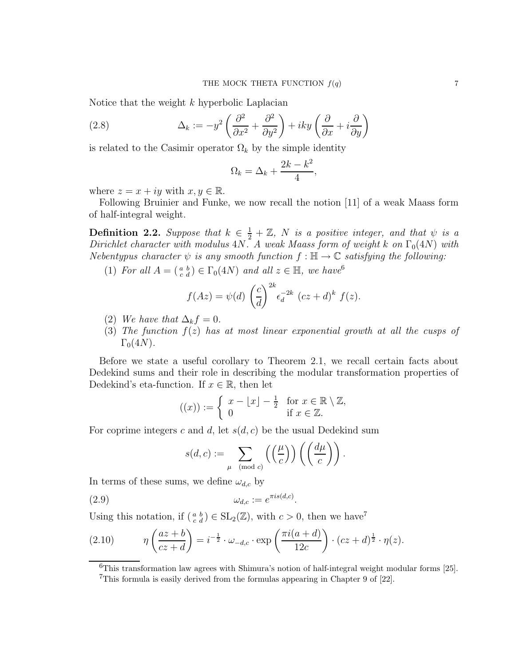Notice that the weight k hyperbolic Laplacian

(2.8) 
$$
\Delta_k := -y^2 \left( \frac{\partial^2}{\partial x^2} + \frac{\partial^2}{\partial y^2} \right) + iky \left( \frac{\partial}{\partial x} + i \frac{\partial}{\partial y} \right)
$$

is related to the Casimir operator  $\Omega_k$  by the simple identity

$$
\Omega_k = \Delta_k + \frac{2k - k^2}{4},
$$

where  $z = x + iy$  with  $x, y \in \mathbb{R}$ .

Following Bruinier and Funke, we now recall the notion [11] of a weak Maass form of half-integral weight.

**Definition 2.2.** Suppose that  $k \in \frac{1}{2} + \mathbb{Z}$ , N is a positive integer, and that  $\psi$  is a Dirichlet character with modulus  $4N$ . A weak Maass form of weight k on  $\Gamma_0(4N)$  with Nebentypus character  $\psi$  is any smooth function  $f : \mathbb{H} \to \mathbb{C}$  satisfying the following:

(1) For all  $A = \begin{pmatrix} a & b \\ c & d \end{pmatrix} \in \Gamma_0(4N)$  and all  $z \in \mathbb{H}$ , we have

$$
f(Az) = \psi(d) \left(\frac{c}{d}\right)^{2k} \epsilon_d^{-2k} (cz+d)^k f(z).
$$

- (2) We have that  $\Delta_k f = 0$ .
- (3) The function  $f(z)$  has at most linear exponential growth at all the cusps of  $\Gamma_0(4N)$ .

Before we state a useful corollary to Theorem 2.1, we recall certain facts about Dedekind sums and their role in describing the modular transformation properties of Dedekind's eta-function. If  $x \in \mathbb{R}$ , then let

$$
((x)) := \begin{cases} x - \lfloor x \rfloor - \frac{1}{2} & \text{for } x \in \mathbb{R} \setminus \mathbb{Z}, \\ 0 & \text{if } x \in \mathbb{Z}. \end{cases}
$$

For coprime integers c and d, let  $s(d, c)$  be the usual Dedekind sum

$$
s(d, c) := \sum_{\mu \pmod{c}} \left( \left( \frac{\mu}{c} \right) \right) \left( \left( \frac{d\mu}{c} \right) \right).
$$

In terms of these sums, we define  $\omega_{d,c}$  by

$$
(2.9) \t\t \t\t \omega_{d,c} := e^{\pi i s(d,c)}.
$$

Using this notation, if  $(\begin{smallmatrix} a & b \\ c & d \end{smallmatrix}) \in SL_2(\mathbb{Z})$ , with  $c > 0$ , then we have<sup>7</sup>

(2.10) 
$$
\eta\left(\frac{az+b}{cz+d}\right) = i^{-\frac{1}{2}} \cdot \omega_{-d,c} \cdot \exp\left(\frac{\pi i(a+d)}{12c}\right) \cdot (cz+d)^{\frac{1}{2}} \cdot \eta(z).
$$

<sup>6</sup>This transformation law agrees with Shimura's notion of half-integral weight modular forms [25].

<sup>7</sup>This formula is easily derived from the formulas appearing in Chapter 9 of [22].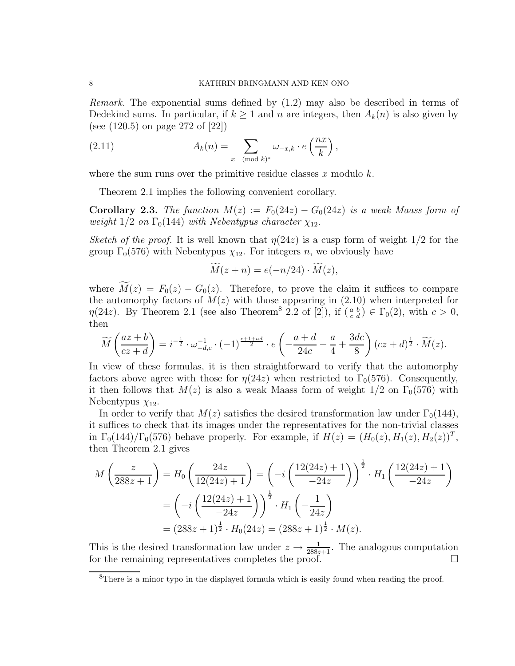Remark. The exponential sums defined by (1.2) may also be described in terms of Dedekind sums. In particular, if  $k \geq 1$  and n are integers, then  $A_k(n)$  is also given by (see (120.5) on page 272 of [22])

(2.11) 
$$
A_k(n) = \sum_{x \pmod{k}} \omega_{-x,k} \cdot e\left(\frac{nx}{k}\right),
$$

where the sum runs over the primitive residue classes x modulo  $k$ .

Theorem 2.1 implies the following convenient corollary.

**Corollary 2.3.** The function  $M(z) := F_0(24z) - G_0(24z)$  is a weak Maass form of weight  $1/2$  on  $\Gamma_0(144)$  with Nebentypus character  $\chi_{12}$ .

Sketch of the proof. It is well known that  $\eta(24z)$  is a cusp form of weight  $1/2$  for the group  $\Gamma_0(576)$  with Nebentypus  $\chi_{12}$ . For integers n, we obviously have

$$
M(z+n) = e(-n/24) \cdot \overline{M}(z),
$$

where  $\widetilde{M}(z) = F_0(z) - G_0(z)$ . Therefore, to prove the claim it suffices to compare the automorphy factors of  $M(z)$  with those appearing in (2.10) when interpreted for  $\eta(24z)$ . By Theorem 2.1 (see also Theorem<sup>8</sup> 2.2 of [2]), if  $(\begin{smallmatrix} a & b \\ c & d \end{smallmatrix}) \in \Gamma_0(2)$ , with  $c > 0$ , then

$$
\widetilde{M}\left(\frac{az+b}{cz+d}\right) = i^{-\frac{1}{2}} \cdot \omega_{-d,c}^{-1} \cdot (-1)^{\frac{c+1+ad}{2}} \cdot e\left(-\frac{a+d}{24c} - \frac{a}{4} + \frac{3dc}{8}\right)(cz+d)^{\frac{1}{2}} \cdot \widetilde{M}(z).
$$

In view of these formulas, it is then straightforward to verify that the automorphy factors above agree with those for  $\eta(24z)$  when restricted to  $\Gamma_0(576)$ . Consequently, it then follows that  $M(z)$  is also a weak Maass form of weight  $1/2$  on  $\Gamma_0(576)$  with Nebentypus  $\chi_{12}$ .

In order to verify that  $M(z)$  satisfies the desired transformation law under  $\Gamma_0(144)$ , it suffices to check that its images under the representatives for the non-trivial classes in  $\Gamma_0(144)/\Gamma_0(576)$  behave properly. For example, if  $H(z) = (H_0(z), H_1(z), H_2(z))^T$ , then Theorem 2.1 gives

$$
M\left(\frac{z}{288z+1}\right) = H_0\left(\frac{24z}{12(24z)+1}\right) = \left(-i\left(\frac{12(24z)+1}{-24z}\right)\right)^{\frac{1}{2}} \cdot H_1\left(\frac{12(24z)+1}{-24z}\right)
$$

$$
= \left(-i\left(\frac{12(24z)+1}{-24z}\right)\right)^{\frac{1}{2}} \cdot H_1\left(-\frac{1}{24z}\right)
$$

$$
= (288z+1)^{\frac{1}{2}} \cdot H_0(24z) = (288z+1)^{\frac{1}{2}} \cdot M(z).
$$

This is the desired transformation law under  $z \to \frac{1}{288z+1}$ . The analogous computation for the remaining representatives completes the proof.

<sup>8</sup>There is a minor typo in the displayed formula which is easily found when reading the proof.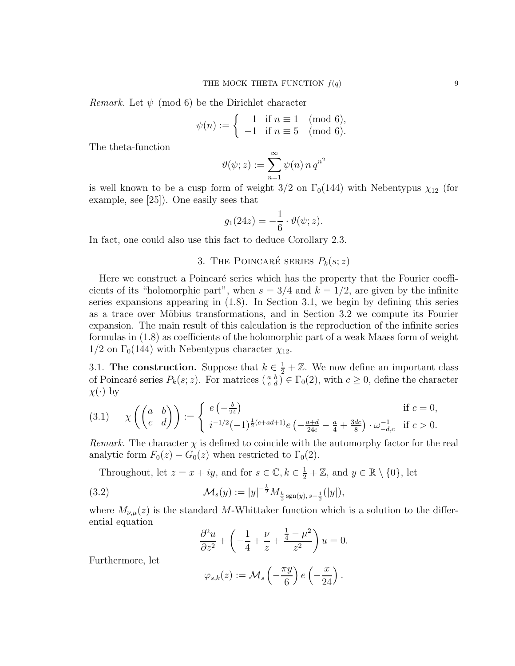*Remark.* Let  $\psi$  (mod 6) be the Dirichlet character

$$
\psi(n) := \begin{cases} 1 & \text{if } n \equiv 1 \pmod{6}, \\ -1 & \text{if } n \equiv 5 \pmod{6}. \end{cases}
$$

The theta-function

$$
\vartheta(\psi;z) := \sum_{n=1}^{\infty} \psi(n) n q^{n^2}
$$

is well known to be a cusp form of weight  $3/2$  on  $\Gamma_0(144)$  with Nebentypus  $\chi_{12}$  (for example, see [25]). One easily sees that

$$
g_1(24z) = -\frac{1}{6} \cdot \vartheta(\psi; z).
$$

In fact, one could also use this fact to deduce Corollary 2.3.

## 3. THE POINCARÉ SERIES  $P_k(s; z)$

Here we construct a Poincaré series which has the property that the Fourier coefficients of its "holomorphic part", when  $s = 3/4$  and  $k = 1/2$ , are given by the infinite series expansions appearing in (1.8). In Section 3.1, we begin by defining this series as a trace over Möbius transformations, and in Section 3.2 we compute its Fourier expansion. The main result of this calculation is the reproduction of the infinite series formulas in (1.8) as coefficients of the holomorphic part of a weak Maass form of weight  $1/2$  on  $\Gamma_0(144)$  with Nebentypus character  $\chi_{12}$ .

3.1. The construction. Suppose that  $k \in \frac{1}{2} + \mathbb{Z}$ . We now define an important class of Poincaré series  $P_k(s; z)$ . For matrices  $\binom{a}{c}$   $\in \Gamma_0(2)$ , with  $c \geq 0$ , define the character  $\chi(\cdot)$  by

(3.1) 
$$
\chi\left(\begin{pmatrix} a & b \ c & d \end{pmatrix}\right) := \begin{cases} e\left(-\frac{b}{24}\right) & \text{if } c = 0, \\ i^{-1/2}(-1)^{\frac{1}{2}(c+ad+1)}e\left(-\frac{a+d}{24c} - \frac{a}{4} + \frac{3dc}{8}\right) \cdot \omega_{-d,c}^{-1} & \text{if } c > 0. \end{cases}
$$

*Remark.* The character  $\chi$  is defined to coincide with the automorphy factor for the real analytic form  $F_0(z) - G_0(z)$  when restricted to  $\Gamma_0(2)$ .

Throughout, let  $z = x + iy$ , and for  $s \in \mathbb{C}$ ,  $k \in \frac{1}{2} + \mathbb{Z}$ , and  $y \in \mathbb{R} \setminus \{0\}$ , let

(3.2) 
$$
\mathcal{M}_s(y) := |y|^{-\frac{k}{2}} M_{\frac{k}{2} \operatorname{sgn}(y), s - \frac{1}{2}}(|y|),
$$

where  $M_{\nu,\mu}(z)$  is the standard M-Whittaker function which is a solution to the differential equation

$$
\frac{\partial^2 u}{\partial z^2} + \left( -\frac{1}{4} + \frac{\nu}{z} + \frac{\frac{1}{4} - \mu^2}{z^2} \right) u = 0.
$$

Furthermore, let

$$
\varphi_{s,k}(z) := \mathcal{M}_s\left(-\frac{\pi y}{6}\right)e\left(-\frac{x}{24}\right).
$$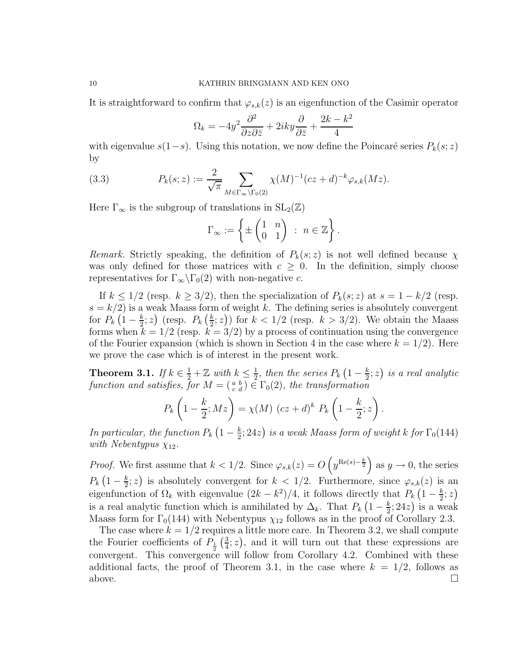It is straightforward to confirm that  $\varphi_{s,k}(z)$  is an eigenfunction of the Casimir operator

$$
\Omega_k = -4y^2 \frac{\partial^2}{\partial z \partial \overline{z}} + 2iky \frac{\partial}{\partial \overline{z}} + \frac{2k - k^2}{4}
$$

with eigenvalue  $s(1-s)$ . Using this notation, we now define the Poincaré series  $P_k(s; z)$ by

(3.3) 
$$
P_k(s; z) := \frac{2}{\sqrt{\pi}} \sum_{M \in \Gamma_{\infty} \backslash \Gamma_0(2)} \chi(M)^{-1} (cz + d)^{-k} \varphi_{s,k}(Mz).
$$

Here  $\Gamma_{\infty}$  is the subgroup of translations in  $SL_2(\mathbb{Z})$ 

$$
\Gamma_{\infty} := \left\{ \pm \begin{pmatrix} 1 & n \\ 0 & 1 \end{pmatrix} \; : \; n \in \mathbb{Z} \right\}.
$$

Remark. Strictly speaking, the definition of  $P_k(s; z)$  is not well defined because  $\chi$ was only defined for those matrices with  $c \geq 0$ . In the definition, simply choose representatives for  $\Gamma_{\infty}\backslash\Gamma_0(2)$  with non-negative c.

If  $k \leq 1/2$  (resp.  $k \geq 3/2$ ), then the specialization of  $P_k(s; z)$  at  $s = 1 - k/2$  (resp.  $s = k/2$ ) is a weak Maass form of weight k. The defining series is absolutely convergent for  $P_k(1-\frac{k}{2})$  $(\frac{k}{2}; z)$  (resp.  $P_k\left(\frac{k}{2}\right)$  $(\frac{k}{2}; z)$ ) for  $k < 1/2$  (resp.  $k > 3/2$ ). We obtain the Maass forms when  $k = 1/2$  (resp.  $k = 3/2$ ) by a process of continuation using the convergence of the Fourier expansion (which is shown in Section 4 in the case where  $k = 1/2$ ). Here we prove the case which is of interest in the present work.

**Theorem 3.1.** If  $k \in \frac{1}{2} + \mathbb{Z}$  with  $k \leq \frac{1}{2}$  $\frac{1}{2}$ , then the series  $P_k\left(1-\frac{k}{2}\right)$  $(\frac{k}{2}; z)$  is a real analytic function and satisfies, for  $M = \begin{pmatrix} a & b \\ c & d \end{pmatrix} \in \Gamma_0(2)$ , the transformation

$$
P_k\left(1-\frac{k}{2};Mz\right) = \chi(M)\ (cz+d)^k\ P_k\left(1-\frac{k}{2};z\right).
$$

In particular, the function  $P_k\left(1-\frac{k}{2}\right)$  $\frac{k}{2}$ ; 24z) is a weak Maass form of weight k for  $\Gamma_0(144)$ with Nebentypus  $\chi_{12}$ .

*Proof.* We first assume that  $k < 1/2$ . Since  $\varphi_{s,k}(z) = O\left(y^{\text{Re}(s) - \frac{k}{2}}\right)$  as  $y \to 0$ , the series  $P_k\left(1-\frac{k}{2}\right)$  $\frac{k}{2}$ ; z) is absolutely convergent for  $k < 1/2$ . Furthermore, since  $\varphi_{s,k}(z)$  is an eigenfunction of  $\Omega_k$  with eigenvalue  $(2k - k^2)/4$ , it follows directly that  $P_k(1 - \frac{k}{2})$  $\frac{k}{2}$ ; z) is a real analytic function which is annihilated by  $\Delta_k$ . That  $P_k$   $\left(1 - \frac{k}{2}\right)$  $(\frac{k}{2}; 24z)$  is a weak Maass form for  $\Gamma_0(144)$  with Nebentypus  $\chi_{12}$  follows as in the proof of Corollary 2.3.

The case where  $k = 1/2$  requires a little more care. In Theorem 3.2, we shall compute the Fourier coefficients of  $P_1$   $\left(\frac{3}{4}\right)$  $(\frac{3}{4}; z)$ , and it will turn out that these expressions are convergent. This convergence will follow from Corollary 4.2. Combined with these additional facts, the proof of Theorem 3.1, in the case where  $k = 1/2$ , follows as above.  $\Box$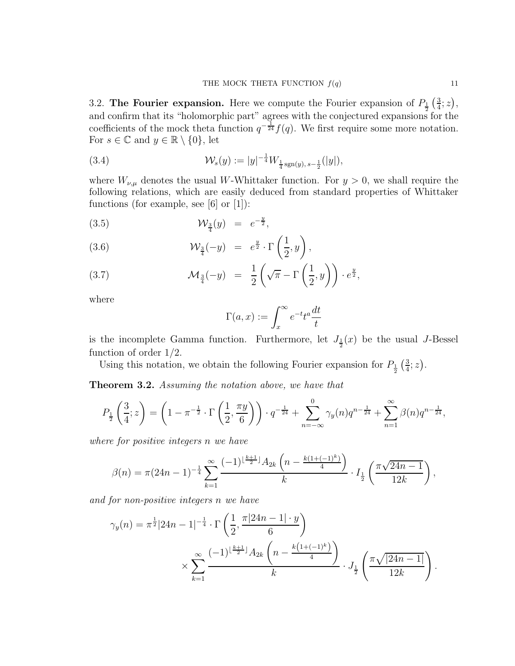3.2. The Fourier expansion. Here we compute the Fourier expansion of  $P_1$   $\frac{3}{4}$ and confirm that its "holomorphic part" agrees with the conjectured expansions for the  $\frac{3}{4}$ ; z), coefficients of the mock theta function  $q^{-\frac{1}{24}}f(q)$ . We first require some more notation. For  $s \in \mathbb{C}$  and  $y \in \mathbb{R} \setminus \{0\}$ , let

(3.4) 
$$
\mathcal{W}_s(y) := |y|^{-\frac{1}{4}} W_{\frac{1}{4} \text{sgn}(y), s-\frac{1}{2}}(|y|),
$$

where  $W_{\nu,\mu}$  denotes the usual W-Whittaker function. For  $y > 0$ , we shall require the following relations, which are easily deduced from standard properties of Whittaker functions (for example, see [6] or [1]):

(3.5) 
$$
\mathcal{W}_{\frac{3}{4}}(y) = e^{-\frac{y}{2}},
$$

(3.6) 
$$
\mathcal{W}_{\frac{3}{4}}(-y) = e^{\frac{y}{2}} \cdot \Gamma\left(\frac{1}{2},y\right),
$$

(3.7) 
$$
\mathcal{M}_{\frac{3}{4}}(-y) = \frac{1}{2} \left( \sqrt{\pi} - \Gamma \left( \frac{1}{2}, y \right) \right) \cdot e^{\frac{y}{2}},
$$

where

$$
\Gamma(a,x) := \int_x^{\infty} e^{-t} t^a \frac{dt}{t}
$$

is the incomplete Gamma function. Furthermore, let  $J_{\frac{1}{2}}(x)$  be the usual *J*-Bessel function of order 1/2.

Using this notation, we obtain the following Fourier expansion for  $P_{\frac{1}{2}}\left(\frac{3}{4}\right)$  $\frac{3}{4}$ ; z).

Theorem 3.2. Assuming the notation above, we have that

$$
P_{\frac{1}{2}}\left(\frac{3}{4};z\right) = \left(1 - \pi^{-\frac{1}{2}} \cdot \Gamma\left(\frac{1}{2},\frac{\pi y}{6}\right)\right) \cdot q^{-\frac{1}{24}} + \sum_{n=-\infty}^{0} \gamma_y(n)q^{n-\frac{1}{24}} + \sum_{n=1}^{\infty} \beta(n)q^{n-\frac{1}{24}},
$$

where for positive integers n we have

$$
\beta(n) = \pi (24n - 1)^{-\frac{1}{4}} \sum_{k=1}^{\infty} \frac{(-1)^{\lfloor \frac{k+1}{2} \rfloor} A_{2k} \left( n - \frac{k(1+(-1)^k)}{4} \right)}{k} \cdot I_{\frac{1}{2}} \left( \frac{\pi \sqrt{24n - 1}}{12k} \right),
$$

and for non-positive integers n we have

$$
\gamma_y(n) = \pi^{\frac{1}{2}} |24n - 1|^{-\frac{1}{4}} \cdot \Gamma\left(\frac{1}{2}, \frac{\pi |24n - 1| \cdot y}{6}\right)
$$

$$
\times \sum_{k=1}^{\infty} \frac{(-1)^{\lfloor \frac{k+1}{2} \rfloor} A_{2k} \left(n - \frac{k(1 + (-1)^k)}{4}\right)}{k} \cdot J_{\frac{1}{2}}\left(\frac{\pi \sqrt{|24n - 1|}}{12k}\right)
$$

.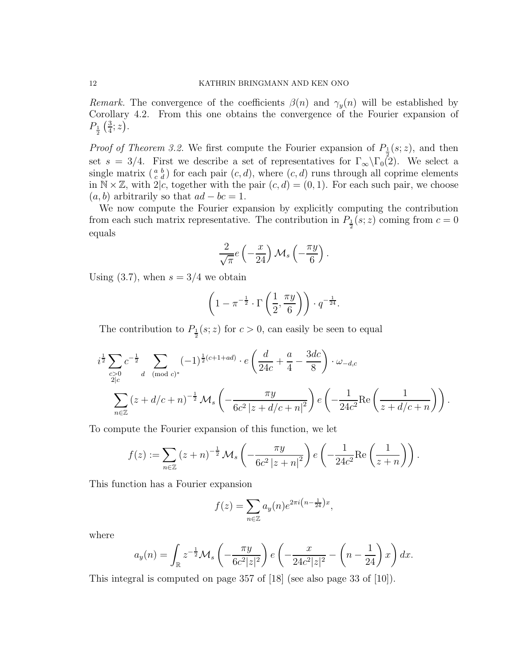Remark. The convergence of the coefficients  $\beta(n)$  and  $\gamma_{\nu}(n)$  will be established by Corollary 4.2. From this one obtains the convergence of the Fourier expansion of  $P_1\over 2\left(\frac{3}{4}\right)$  $rac{3}{4}$ ; z).

*Proof of Theorem 3.2.* We first compute the Fourier expansion of  $P_1(s; z)$ , and then set  $s = 3/4$ . First we describe a set of representatives for  $\Gamma_{\infty} \backslash \Gamma_0(2)$ . We select a single matrix  $\begin{pmatrix} a & b \\ c & d \end{pmatrix}$  for each pair  $(c, d)$ , where  $(c, d)$  runs through all coprime elements in  $\mathbb{N} \times \mathbb{Z}$ , with 2|c, together with the pair  $(c, d) = (0, 1)$ . For each such pair, we choose  $(a, b)$  arbitrarily so that  $ad - bc = 1$ .

We now compute the Fourier expansion by explicitly computing the contribution from each such matrix representative. The contribution in  $P_{\frac{1}{2}}(s; z)$  coming from  $c = 0$ equals

$$
\frac{2}{\sqrt{\pi}}e\left(-\frac{x}{24}\right) \mathcal{M}_s\left(-\frac{\pi y}{6}\right).
$$

Using  $(3.7)$ , when  $s = 3/4$  we obtain

$$
\left(1 - \pi^{-\frac{1}{2}} \cdot \Gamma\left(\frac{1}{2}, \frac{\pi y}{6}\right)\right) \cdot q^{-\frac{1}{24}}.
$$

The contribution to  $P_{\frac{1}{2}}(s; z)$  for  $c > 0$ , can easily be seen to equal

$$
i^{\frac{1}{2}} \sum_{\substack{c>0 \ 2|c}} c^{-\frac{1}{2}} \sum_{d \pmod{c}} (-1)^{\frac{1}{2}(c+1+ad)} \cdot e\left(\frac{d}{24c} + \frac{a}{4} - \frac{3dc}{8}\right) \cdot \omega_{-d,c}
$$

$$
\sum_{n \in \mathbb{Z}} (z + d/c + n)^{-\frac{1}{2}} \mathcal{M}_s \left(-\frac{\pi y}{6c^2 |z + d/c + n|^2}\right) e\left(-\frac{1}{24c^2} \text{Re}\left(\frac{1}{z + d/c + n}\right)\right).
$$

To compute the Fourier expansion of this function, we let

$$
f(z) := \sum_{n \in \mathbb{Z}} (z+n)^{-\frac{1}{2}} \mathcal{M}_s \left( -\frac{\pi y}{6c^2 |z+n|^2} \right) e\left( -\frac{1}{24c^2} \text{Re} \left( \frac{1}{z+n} \right) \right).
$$

This function has a Fourier expansion

$$
f(z) = \sum_{n \in \mathbb{Z}} a_y(n) e^{2\pi i \left(n - \frac{1}{24}\right)x},
$$

where

$$
a_y(n) = \int_{\mathbb{R}} z^{-\frac{1}{2}} \mathcal{M}_s\left(-\frac{\pi y}{6c^2|z|^2}\right) e\left(-\frac{x}{24c^2|z|^2} - \left(n - \frac{1}{24}\right)x\right) dx.
$$

This integral is computed on page 357 of [18] (see also page 33 of [10]).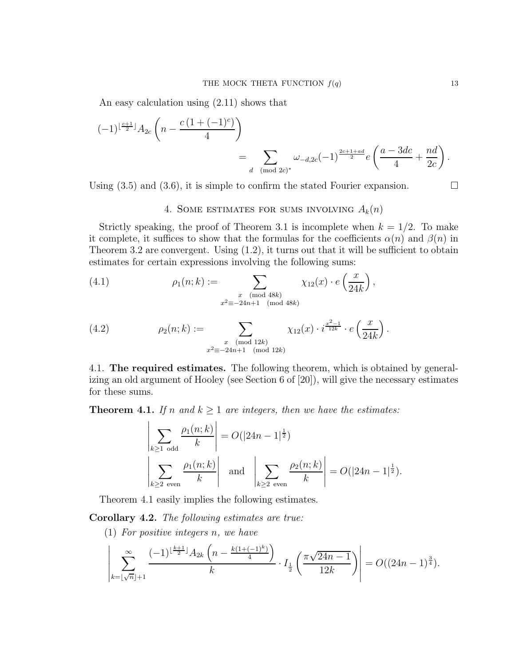An easy calculation using (2.11) shows that

$$
(-1)^{\lfloor \frac{c+1}{2} \rfloor} A_{2c} \left( n - \frac{c \left( 1 + (-1)^c \right)}{4} \right)
$$
  
= 
$$
\sum_{d \pmod{2c}^*} \omega_{-d, 2c} (-1)^{\frac{2c+1+ad}{2}} e \left( \frac{a - 3dc}{4} + \frac{nd}{2c} \right).
$$

Using  $(3.5)$  and  $(3.6)$ , it is simple to confirm the stated Fourier expansion.

# 4. SOME ESTIMATES FOR SUMS INVOLVING  $A_k(n)$

Strictly speaking, the proof of Theorem 3.1 is incomplete when  $k = 1/2$ . To make it complete, it suffices to show that the formulas for the coefficients  $\alpha(n)$  and  $\beta(n)$  in Theorem 3.2 are convergent. Using  $(1.2)$ , it turns out that it will be sufficient to obtain estimates for certain expressions involving the following sums:

(4.1) 
$$
\rho_1(n;k) := \sum_{\substack{x \pmod{48k} \\ x^2 \equiv -24n+1 \pmod{48k}}} \chi_{12}(x) \cdot e\left(\frac{x}{24k}\right),
$$

(4.2) 
$$
\rho_2(n;k) := \sum_{\substack{x \pmod{12k} \\ x^2 \equiv -24n+1 \pmod{12k}}} \chi_{12}(x) \cdot i^{\frac{x^2-1}{12k}} \cdot e\left(\frac{x}{24k}\right).
$$

4.1. The required estimates. The following theorem, which is obtained by generalizing an old argument of Hooley (see Section 6 of [20]), will give the necessary estimates for these sums.

**Theorem 4.1.** If n and  $k \ge 1$  are integers, then we have the estimates:

$$
\left| \sum_{k \ge 1 \text{ odd}} \frac{\rho_1(n;k)}{k} \right| = O(|24n - 1|^{\frac{1}{2}})
$$
  

$$
\left| \sum_{k \ge 2 \text{ even}} \frac{\rho_1(n;k)}{k} \right| \text{ and } \left| \sum_{k \ge 2 \text{ even}} \frac{\rho_2(n;k)}{k} \right| = O(|24n - 1|^{\frac{1}{2}}).
$$

Theorem 4.1 easily implies the following estimates.

Corollary 4.2. The following estimates are true:

(1) For positive integers n, we have

$$
\left| \sum_{k=\lfloor \sqrt{n} \rfloor + 1}^{\infty} \frac{(-1)^{\lfloor \frac{k+1}{2} \rfloor} A_{2k} \left( n - \frac{k(1 + (-1)^k)}{4} \right)}{k} \cdot I_{\frac{1}{2}} \left( \frac{\pi \sqrt{24n - 1}}{12k} \right) \right| = O((24n - 1)^{\frac{3}{4}}).
$$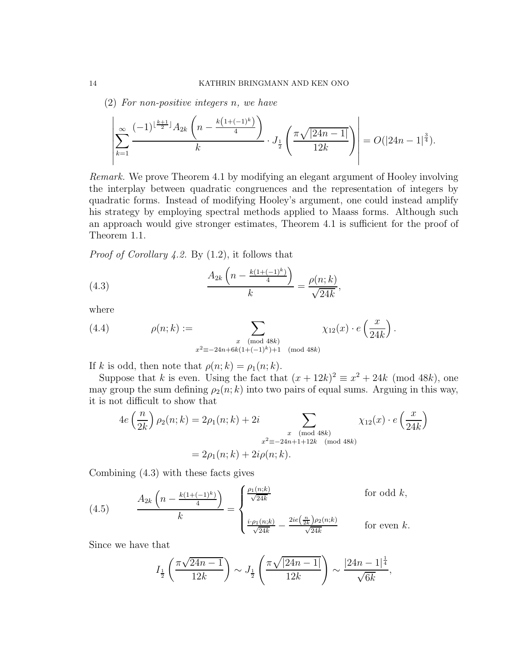(2) For non-positive integers n, we have

$$
\left| \sum_{k=1}^{\infty} \frac{(-1)^{\lfloor \frac{k+1}{2} \rfloor} A_{2k} \left( n - \frac{k(1+(-1)^k)}{4} \right)}{k} \cdot J_{\frac{1}{2}} \left( \frac{\pi \sqrt{|24n-1|}}{12k} \right) \right| = O(|24n-1|^{\frac{3}{4}}).
$$

Remark. We prove Theorem 4.1 by modifying an elegant argument of Hooley involving the interplay between quadratic congruences and the representation of integers by quadratic forms. Instead of modifying Hooley's argument, one could instead amplify his strategy by employing spectral methods applied to Maass forms. Although such an approach would give stronger estimates, Theorem 4.1 is sufficient for the proof of Theorem 1.1.

Proof of Corollary 4.2. By (1.2), it follows that

(4.3) 
$$
\frac{A_{2k}\left(n - \frac{k(1+(-1)^k)}{4}\right)}{k} = \frac{\rho(n;k)}{\sqrt{24k}},
$$

where

(4.4) 
$$
\rho(n;k) := \sum_{\substack{x \pmod{48k} \\ x^2 \equiv -24n + 6k(1 + (-1)^k) + 1 \pmod{48k}}} \chi_{12}(x) \cdot e\left(\frac{x}{24k}\right).
$$

If k is odd, then note that  $\rho(n;k) = \rho_1(n;k)$ .

Suppose that k is even. Using the fact that  $(x + 12k)^2 \equiv x^2 + 24k \pmod{48k}$ , one may group the sum defining  $\rho_2(n; k)$  into two pairs of equal sums. Arguing in this way, it is not difficult to show that

$$
4e\left(\frac{n}{2k}\right)\rho_2(n;k) = 2\rho_1(n;k) + 2i \sum_{\substack{x \pmod{48k} \\ x^2 \equiv -24n+1+12k \pmod{48k}}} \chi_{12}(x) \cdot e\left(\frac{x}{24k}\right)
$$

$$
= 2\rho_1(n;k) + 2i\rho(n;k).
$$

Combining (4.3) with these facts gives

(4.5) 
$$
\frac{A_{2k} \left(n - \frac{k(1 + (-1)^k)}{4}\right)}{k} = \begin{cases} \frac{\rho_1(n;k)}{\sqrt{24k}} & \text{for odd } k, \\ \frac{i \cdot \rho_1(n;k)}{\sqrt{24k}} - \frac{2ie(\frac{n}{2k})\rho_2(n;k)}{\sqrt{24k}} & \text{for even } k. \end{cases}
$$

Since we have that

$$
I_{\frac{1}{2}}\left(\frac{\pi\sqrt{24n-1}}{12k}\right) \sim J_{\frac{1}{2}}\left(\frac{\pi\sqrt{|24n-1|}}{12k}\right) \sim \frac{|24n-1|^{\frac{1}{4}}}{\sqrt{6k}},
$$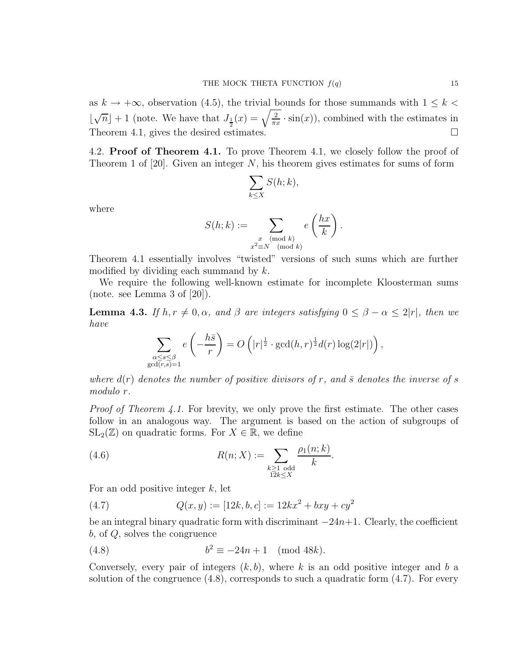as  $k \to +\infty$ , observation (4.5), the trivial bounds for those summands with  $1 \leq k$  $\lfloor$  $\sqrt{n}$  + 1 (note. We have that  $J_{\frac{1}{2}}(x) = \sqrt{\frac{2}{\pi x}}$  $\frac{2}{\pi x} \cdot \sin(x)$ , combined with the estimates in Theorem 4.1, gives the desired estimates.  $\Box$ 

4.2. **Proof of Theorem 4.1.** To prove Theorem 4.1, we closely follow the proof of Theorem 1 of  $[20]$ . Given an integer N, his theorem gives estimates for sums of form

$$
\sum_{k\leq X} S(h;k),
$$

where

$$
S(h;k) := \sum_{\substack{x \pmod{k} \\ x^2 \equiv N \pmod{k}}} e\left(\frac{hx}{k}\right).
$$

Theorem 4.1 essentially involves "twisted" versions of such sums which are further modified by dividing each summand by  $k$ .

We require the following well-known estimate for incomplete Kloosterman sums (note. see Lemma 3 of [20]).

**Lemma 4.3.** If  $h, r \neq 0, \alpha$ , and  $\beta$  are integers satisfying  $0 \leq \beta - \alpha \leq 2|r|$ , then we have

$$
\sum_{\substack{\alpha \le s \le \beta \\ \gcd(r,s)=1}} e\left(-\frac{h\bar{s}}{r}\right) = O\left(|r|^{\frac{1}{2}} \cdot \gcd(h,r)^{\frac{1}{2}}d(r)\log(2|r|)\right),\,
$$

where  $d(r)$  denotes the number of positive divisors of r, and  $\bar{s}$  denotes the inverse of s modulo r.

*Proof of Theorem 4.1.* For brevity, we only prove the first estimate. The other cases follow in an analogous way. The argument is based on the action of subgroups of  $SL_2(\mathbb{Z})$  on quadratic forms. For  $X \in \mathbb{R}$ , we define

(4.6) 
$$
R(n;X) := \sum_{\substack{k \geq 1 \text{ odd} \\ 12k \leq X}} \frac{\rho_1(n;k)}{k}.
$$

For an odd positive integer  $k$ , let

(4.7) 
$$
Q(x,y) := [12k, b, c] := 12kx^2 + bxy + cy^2
$$

be an integral binary quadratic form with discriminant  $-24n+1$ . Clearly, the coefficient b, of Q, solves the congruence

(4.8) 
$$
b^2 \equiv -24n + 1 \pmod{48k}.
$$

Conversely, every pair of integers  $(k, b)$ , where k is an odd positive integer and b a solution of the congruence  $(4.8)$ , corresponds to such a quadratic form  $(4.7)$ . For every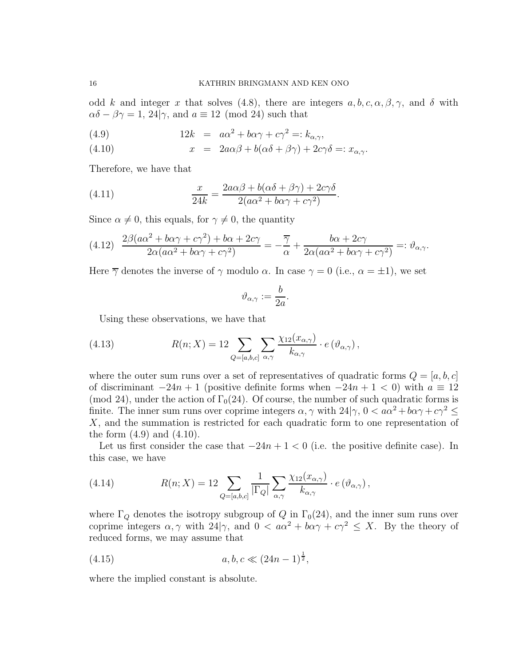odd k and integer x that solves (4.8), there are integers  $a, b, c, \alpha, \beta, \gamma$ , and  $\delta$  with  $\alpha\delta - \beta\gamma = 1, 24|\gamma$ , and  $a \equiv 12 \pmod{24}$  such that

(4.9) 
$$
12k = a\alpha^2 + b\alpha\gamma + c\gamma^2 = k_{\alpha,\gamma},
$$

(4.10) 
$$
x = 2a\alpha\beta + b(\alpha\delta + \beta\gamma) + 2c\gamma\delta =: x_{\alpha,\gamma}.
$$

Therefore, we have that

(4.11) 
$$
\frac{x}{24k} = \frac{2a\alpha\beta + b(\alpha\delta + \beta\gamma) + 2c\gamma\delta}{2(a\alpha^2 + b\alpha\gamma + c\gamma^2)}.
$$

Since  $\alpha \neq 0$ , this equals, for  $\gamma \neq 0$ , the quantity

$$
(4.12) \frac{2\beta(a\alpha^2 + b\alpha\gamma + c\gamma^2) + b\alpha + 2c\gamma}{2\alpha(a\alpha^2 + b\alpha\gamma + c\gamma^2)} = -\frac{\overline{\gamma}}{\alpha} + \frac{b\alpha + 2c\gamma}{2\alpha(a\alpha^2 + b\alpha\gamma + c\gamma^2)} =: \vartheta_{\alpha,\gamma}.
$$

Here  $\overline{\gamma}$  denotes the inverse of  $\gamma$  modulo  $\alpha$ . In case  $\gamma = 0$  (i.e.,  $\alpha = \pm 1$ ), we set

$$
\vartheta_{\alpha,\gamma} := \frac{b}{2a}.
$$

Using these observations, we have that

(4.13) 
$$
R(n;X) = 12 \sum_{Q=[a,b,c]} \sum_{\alpha,\gamma} \frac{\chi_{12}(x_{\alpha,\gamma})}{k_{\alpha,\gamma}} \cdot e(\vartheta_{\alpha,\gamma}),
$$

where the outer sum runs over a set of representatives of quadratic forms  $Q = [a, b, c]$ of discriminant  $-24n+1$  (positive definite forms when  $-24n+1 < 0$ ) with  $a \equiv 12$ (mod 24), under the action of  $\Gamma_0(24)$ . Of course, the number of such quadratic forms is finite. The inner sum runs over coprime integers  $\alpha, \gamma$  with  $24|\gamma, 0 < a\alpha^2 + b\alpha\gamma + c\gamma^2 \leq$ X, and the summation is restricted for each quadratic form to one representation of the form  $(4.9)$  and  $(4.10)$ .

Let us first consider the case that  $-24n + 1 < 0$  (i.e. the positive definite case). In this case, we have

(4.14) 
$$
R(n;X) = 12 \sum_{Q=[a,b,c]} \frac{1}{|\Gamma_Q|} \sum_{\alpha,\gamma} \frac{\chi_{12}(x_{\alpha,\gamma})}{k_{\alpha,\gamma}} \cdot e(\vartheta_{\alpha,\gamma}),
$$

where  $\Gamma_Q$  denotes the isotropy subgroup of  $Q$  in  $\Gamma_0(24)$ , and the inner sum runs over coprime integers  $\alpha, \gamma$  with  $24|\gamma$ , and  $0 < a\alpha^2 + b\alpha\gamma + c\gamma^2 \leq X$ . By the theory of reduced forms, we may assume that

(4.15) 
$$
a, b, c \ll (24n - 1)^{\frac{1}{2}},
$$

where the implied constant is absolute.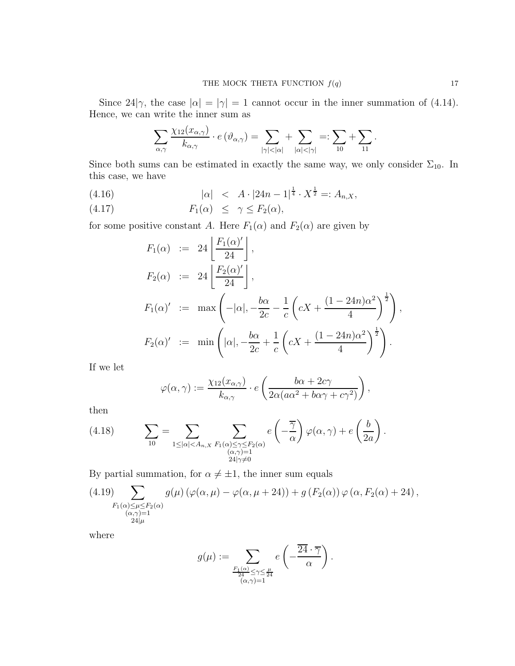Since 24| $\gamma$ , the case  $|\alpha| = |\gamma| = 1$  cannot occur in the inner summation of (4.14). Hence, we can write the inner sum as

$$
\sum_{\alpha,\gamma}\frac{\chi_{12}(x_{\alpha,\gamma})}{k_{\alpha,\gamma}}\cdot e\left(\vartheta_{\alpha,\gamma}\right)=\sum_{|\gamma|<|\alpha|}+\sum_{|\alpha|<|\gamma|}=:\sum_{10}+\sum_{11}.
$$

Since both sums can be estimated in exactly the same way, we only consider  $\Sigma_{10}$ . In this case, we have

(4.16) 
$$
|\alpha| < A \cdot |24n - 1|^{\frac{1}{4}} \cdot X^{\frac{1}{2}} =: A_{n,X},
$$

$$
(4.17) \t\t\t F_1(\alpha) \leq \gamma \leq F_2(\alpha),
$$

for some positive constant A. Here  $F_1(\alpha)$  and  $F_2(\alpha)$  are given by

$$
F_1(\alpha) := 24 \left[ \frac{F_1(\alpha)'}{24} \right],
$$
  
\n
$$
F_2(\alpha) := 24 \left[ \frac{F_2(\alpha)'}{24} \right],
$$
  
\n
$$
F_1(\alpha)' := \max \left( -|\alpha|, -\frac{b\alpha}{2c} - \frac{1}{c} \left( cX + \frac{(1 - 24n)\alpha^2}{4} \right)^{\frac{1}{2}} \right),
$$
  
\n
$$
F_2(\alpha)' := \min \left( |\alpha|, -\frac{b\alpha}{2c} + \frac{1}{c} \left( cX + \frac{(1 - 24n)\alpha^2}{4} \right)^{\frac{1}{2}} \right).
$$

If we let

$$
\varphi(\alpha,\gamma) := \frac{\chi_{12}(x_{\alpha,\gamma})}{k_{\alpha,\gamma}} \cdot e\left(\frac{b\alpha + 2c\gamma}{2\alpha(a\alpha^2 + b\alpha\gamma + c\gamma^2)}\right),
$$

then

(4.18) 
$$
\sum_{10} = \sum_{\substack{1 \leq |\alpha| < A_{n,X} \\ 0 < \alpha \nmid \gamma \neq 0}} \sum_{\substack{F_1(\alpha) \leq \gamma \leq F_2(\alpha) \\ (\alpha, \gamma) = 1 \\ 24|\gamma \neq 0}} e\left(-\frac{\overline{\gamma}}{\alpha}\right) \varphi(\alpha, \gamma) + e\left(\frac{b}{2a}\right).
$$

By partial summation, for  $\alpha \neq \pm 1$ , the inner sum equals

(4.19) 
$$
\sum_{\substack{F_1(\alpha)\leq \mu\leq F_2(\alpha)\\ (\alpha,\gamma)=1\\ 24|\mu}} g(\mu) \left( \varphi(\alpha,\mu) - \varphi(\alpha,\mu+24) \right) + g \left( F_2(\alpha) \right) \varphi \left( \alpha, F_2(\alpha) + 24 \right),
$$

where

$$
g(\mu):=\sum_{\substack{\frac{F_1(\alpha)}{24}\leq \gamma\leq \frac{\mu}{24}\\ (\alpha,\gamma)=1}} e\left(-\frac{\overline{24}\cdot \overline{\gamma}}{\alpha}\right).
$$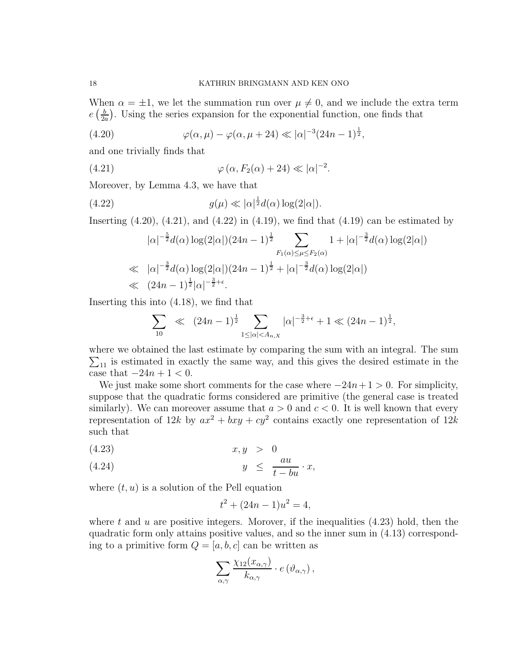When  $\alpha = \pm 1$ , we let the summation run over  $\mu \neq 0$ , and we include the extra term  $e\left(\frac{b}{2a}\right)$  $\frac{b}{2a}$ ). Using the series expansion for the exponential function, one finds that

(4.20) 
$$
\varphi(\alpha,\mu) - \varphi(\alpha,\mu+24) \ll |\alpha|^{-3} (24n-1)^{\frac{1}{2}},
$$

and one trivially finds that

(4.21) 
$$
\varphi(\alpha, F_2(\alpha) + 24) \ll |\alpha|^{-2}.
$$

Moreover, by Lemma 4.3, we have that

(4.22) 
$$
g(\mu) \ll |\alpha|^{\frac{1}{2}} d(\alpha) \log(2|\alpha|).
$$

Inserting  $(4.20)$ ,  $(4.21)$ , and  $(4.22)$  in  $(4.19)$ , we find that  $(4.19)$  can be estimated by

$$
|\alpha|^{-\frac{5}{2}}d(\alpha)\log(2|\alpha|)(24n-1)^{\frac{1}{2}}\sum_{F_1(\alpha)\leq\mu\leq F_2(\alpha)}1+|\alpha|^{-\frac{3}{2}}d(\alpha)\log(2|\alpha|)
$$
  
\n
$$
\ll |\alpha|^{-\frac{3}{2}}d(\alpha)\log(2|\alpha|)(24n-1)^{\frac{1}{2}}+|\alpha|^{-\frac{3}{2}}d(\alpha)\log(2|\alpha|)
$$
  
\n
$$
\ll (24n-1)^{\frac{1}{2}}|\alpha|^{-\frac{3}{2}+\epsilon}.
$$

Inserting this into (4.18), we find that

$$
\sum_{10} \ll (24n-1)^{\frac{1}{2}} \sum_{1 \leq |\alpha| < A_{n,X}} |\alpha|^{-\frac{3}{2}+\epsilon} + 1 \ll (24n-1)^{\frac{1}{2}},
$$

where we obtained the last estimate by comparing the sum with an integral. The sum  $\Sigma_{11}$  is estimated in exactly the same way, and this gives the desired estimate in the case that  $-24n + 1 < 0$ .

We just make some short comments for the case where  $-24n+1 > 0$ . For simplicity, suppose that the quadratic forms considered are primitive (the general case is treated similarly). We can moreover assume that  $a > 0$  and  $c < 0$ . It is well known that every representation of  $12k$  by  $ax^2 + bxy + cy^2$  contains exactly one representation of  $12k$ such that

$$
(4.23) \t\t x, y > 0
$$

$$
(4.24) \t\t y \le \frac{au}{t - bu} \cdot x,
$$

where  $(t, u)$  is a solution of the Pell equation

$$
t^2 + (24n - 1)u^2 = 4,
$$

where  $t$  and  $u$  are positive integers. Morover, if the inequalities  $(4.23)$  hold, then the quadratic form only attains positive values, and so the inner sum in (4.13) corresponding to a primitive form  $Q = [a, b, c]$  can be written as

$$
\sum_{\alpha,\gamma}\frac{\chi_{12}(x_{\alpha,\gamma})}{k_{\alpha,\gamma}}\cdot e\left(\vartheta_{\alpha,\gamma}\right),\,
$$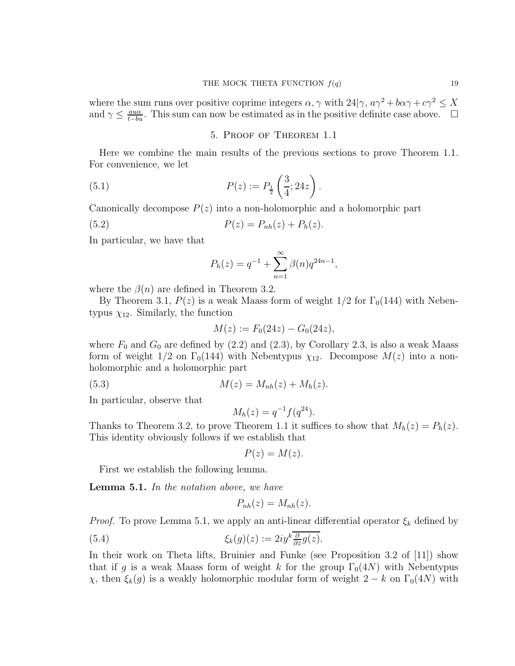where the sum runs over positive coprime integers  $\alpha, \gamma$  with  $24|\gamma, a\gamma^2 + b\alpha\gamma + c\gamma^2 \leq X$ and  $\gamma \leq \frac{a u \alpha}{t-bu}$ . This sum can now be estimated as in the positive definite case above.  $\Box$ 

#### 5. Proof of Theorem 1.1

Here we combine the main results of the previous sections to prove Theorem 1.1. For convenience, we let

(5.1) 
$$
P(z) := P_{\frac{1}{2}}\left(\frac{3}{4}; 24z\right).
$$

Canonically decompose  $P(z)$  into a non-holomorphic and a holomorphic part

(5.2) 
$$
P(z) = P_{nh}(z) + P_h(z).
$$

In particular, we have that

$$
P_h(z) = q^{-1} + \sum_{n=1}^{\infty} \beta(n) q^{24n-1},
$$

where the  $\beta(n)$  are defined in Theorem 3.2.

By Theorem 3.1,  $P(z)$  is a weak Maass form of weight  $1/2$  for  $\Gamma_0(144)$  with Nebentypus  $\chi_{12}$ . Similarly, the function

$$
M(z) := F_0(24z) - G_0(24z),
$$

where  $F_0$  and  $G_0$  are defined by (2.2) and (2.3), by Corollary 2.3, is also a weak Maass form of weight  $1/2$  on  $\Gamma_0(144)$  with Nebentypus  $\chi_{12}$ . Decompose  $M(z)$  into a nonholomorphic and a holomorphic part

(5.3) 
$$
M(z) = M_{nh}(z) + M_h(z).
$$

In particular, observe that

$$
M_h(z) = q^{-1} f(q^{24}).
$$

Thanks to Theorem 3.2, to prove Theorem 1.1 it suffices to show that  $M_h(z) = P_h(z)$ . This identity obviously follows if we establish that

 $P(z) = M(z)$ .

First we establish the following lemma.

Lemma 5.1. In the notation above, we have

$$
P_{nh}(z) = M_{nh}(z).
$$

*Proof.* To prove Lemma 5.1, we apply an anti-linear differential operator  $\xi_k$  defined by

(5.4) 
$$
\xi_k(g)(z) := 2iy^k \frac{\partial}{\partial z} g(z).
$$

In their work on Theta lifts, Bruinier and Funke (see Proposition 3.2 of [11]) show that if g is a weak Maass form of weight k for the group  $\Gamma_0(4N)$  with Nebentypus  $χ$ , then  $ξ_k(g)$  is a weakly holomorphic modular form of weight 2 − k on Γ<sub>0</sub>(4N) with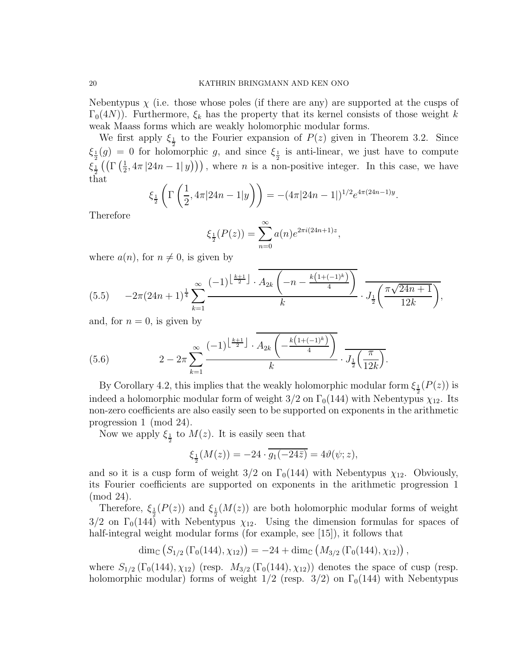Nebentypus  $\chi$  (i.e. those whose poles (if there are any) are supported at the cusps of  $\Gamma_0(4N)$ ). Furthermore,  $\xi_k$  has the property that its kernel consists of those weight k weak Maass forms which are weakly holomorphic modular forms.

We first apply  $\xi_{\frac{1}{2}}$  to the Fourier expansion of  $P(z)$  given in Theorem 3.2. Since  $\xi_{\frac{1}{2}}(g) = 0$  for holomorphic g, and since  $\xi_{\frac{1}{2}}$  is anti-linear, we just have to compute  $\xi _{\frac{1}{2}}^{\mathbf{r}}\left( \left( \Gamma \left( \frac{1}{2}\right. \right. \right.$  $(\frac{1}{2}, 4\pi |24n - 1|y))$ , where *n* is a non-positive integer. In this case, we have that

$$
\xi_{\frac{1}{2}}\left(\Gamma\left(\frac{1}{2}, 4\pi|24n-1|y\right)\right) = -(4\pi|24n-1|)^{1/2}e^{4\pi(24n-1)y}.
$$

Therefore

$$
\xi_{\frac{1}{2}}(P(z)) = \sum_{n=0}^{\infty} a(n)e^{2\pi i(24n+1)z},
$$

where  $a(n)$ , for  $n \neq 0$ , is given by

$$
(5.5) \qquad -2\pi (24n+1)^{\frac{1}{4}} \sum_{k=1}^{\infty} \frac{(-1)^{\left\lfloor \frac{k+1}{2} \right\rfloor} \cdot \overbrace{A_{2k} \left( -n - \frac{k(1+(-1)^k)}{4} \right)}^{k} \cdot J_{\frac{1}{2}} \left( \frac{\pi \sqrt{24n+1}}{12k} \right)},
$$

and, for  $n = 0$ , is given by

(5.6) 
$$
2 - 2\pi \sum_{k=1}^{\infty} \frac{(-1)^{\left\lfloor \frac{k+1}{2} \right\rfloor} \cdot \overline{A_{2k} \left( -\frac{k(1+(-1)^k)}{4} \right)}}{k} \cdot \overline{J_{\frac{1}{2}} \left( \frac{\pi}{12k} \right)}.
$$

By Corollary 4.2, this implies that the weakly holomorphic modular form  $\xi_{\frac{1}{2}}(P(z))$  is indeed a holomorphic modular form of weight  $3/2$  on  $\Gamma_0(144)$  with Nebentypus  $\chi_{12}$ . Its non-zero coefficients are also easily seen to be supported on exponents in the arithmetic progression 1 (mod 24).

Now we apply  $\xi_{\frac{1}{2}}$  to  $M(z)$ . It is easily seen that

$$
\xi_{\frac{1}{2}}(M(z)) = -24 \cdot \overline{g_1(-24\overline{z})} = 4\vartheta(\psi; z),
$$

and so it is a cusp form of weight  $3/2$  on  $\Gamma_0(144)$  with Nebentypus  $\chi_{12}$ . Obviously, its Fourier coefficients are supported on exponents in the arithmetic progression 1 (mod 24).

Therefore,  $\xi_{\frac{1}{2}}(P(z))$  and  $\xi_{\frac{1}{2}}(M(z))$  are both holomorphic modular forms of weight  $3/2$  on  $\Gamma_0(144)$  with Nebentypus  $\chi_{12}$ . Using the dimension formulas for spaces of half-integral weight modular forms (for example, see [15]), it follows that

$$
\dim_{\mathbb{C}}\left(S_{1/2}\left(\Gamma_0(144), \chi_{12}\right)\right) = -24 + \dim_{\mathbb{C}}\left(M_{3/2}\left(\Gamma_0(144), \chi_{12}\right)\right),
$$

where  $S_{1/2}(\Gamma_0(144), \chi_{12})$  (resp.  $M_{3/2}(\Gamma_0(144), \chi_{12})$ ) denotes the space of cusp (resp. holomorphic modular) forms of weight  $1/2$  (resp.  $3/2$ ) on  $\Gamma_0(144)$  with Nebentypus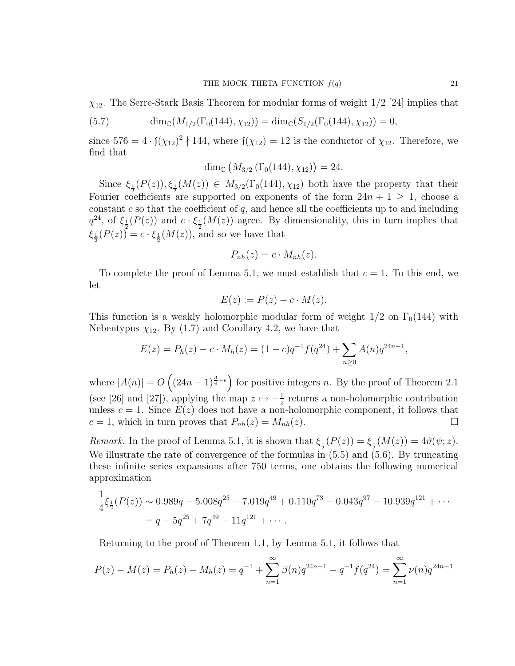$\chi_{12}$ . The Serre-Stark Basis Theorem for modular forms of weight  $1/2$  [24] implies that

(5.7) 
$$
\dim_{\mathbb{C}}(M_{1/2}(\Gamma_0(144), \chi_{12})) = \dim_{\mathbb{C}}(S_{1/2}(\Gamma_0(144), \chi_{12})) = 0,
$$

since  $576 = 4 \cdot \frac{\mathfrak{f}(\chi_{12})^2}{144}$ , where  $\mathfrak{f}(\chi_{12}) = 12$  is the conductor of  $\chi_{12}$ . Therefore, we find that

$$
\dim_{\mathbb{C}} (M_{3/2}(\Gamma_0(144), \chi_{12})) = 24.
$$

Since  $\xi_{\frac{1}{2}}(P(z)), \xi_{\frac{1}{2}}(M(z)) \in M_{3/2}(\Gamma_0(144), \chi_{12})$  both have the property that their Fourier coefficients are supported on exponents of the form  $24n + 1 \ge 1$ , choose a constant c so that the coefficient of q, and hence all the coefficients up to and including  $q^{24}$ , of  $\xi_{\frac{1}{2}}(P(z))$  and  $c \cdot \xi_{\frac{1}{2}}(M(z))$  agree. By dimensionality, this in turn implies that  $\xi_{\frac{1}{2}}(P(z)) = c \cdot \xi_{\frac{1}{2}}(M(z))$ , and so we have that

$$
P_{nh}(z)=c\cdot M_{nh}(z).
$$

To complete the proof of Lemma 5.1, we must establish that  $c = 1$ . To this end, we let

$$
E(z) := P(z) - c \cdot M(z).
$$

This function is a weakly holomorphic modular form of weight  $1/2$  on  $\Gamma_0(144)$  with Nebentypus  $\chi_{12}$ . By (1.7) and Corollary 4.2, we have that

$$
E(z) = P_h(z) - c \cdot M_h(z) = (1 - c)q^{-1} f(q^{24}) + \sum_{n \ge 0} A(n)q^{24n-1},
$$

where  $|A(n)| = O\left((24n-1)^{\frac{3}{4}+\epsilon}\right)$  for positive integers n. By the proof of Theorem 2.1 (see [26] and [27]), applying the map  $z \mapsto -\frac{1}{z}$  returns a non-holomorphic contribution unless  $c = 1$ . Since  $E(z)$  does not have a non-holomorphic component, it follows that  $c = 1$ , which in turn proves that  $P_{nh}(z) = M_{nh}(z)$ .

Remark. In the proof of Lemma 5.1, it is shown that  $\xi_{\frac{1}{2}}(P(z)) = \xi_{\frac{1}{2}}(M(z)) = 4\vartheta(\psi; z)$ . We illustrate the rate of convergence of the formulas in  $(5.5)$  and  $(5.6)$ . By truncating these infinite series expansions after 750 terms, one obtains the following numerical approximation

$$
\frac{1}{4}\xi_{\frac{1}{2}}(P(z)) \sim 0.989q - 5.008q^{25} + 7.019q^{49} + 0.110q^{73} - 0.043q^{97} - 10.939q^{121} + \cdots
$$

$$
= q - 5q^{25} + 7q^{49} - 11q^{121} + \cdots
$$

Returning to the proof of Theorem 1.1, by Lemma 5.1, it follows that

$$
P(z) - M(z) = P_h(z) - M_h(z) = q^{-1} + \sum_{n=1}^{\infty} \beta(n) q^{24n-1} - q^{-1} f(q^{24}) = \sum_{n=1}^{\infty} \nu(n) q^{24n-1}
$$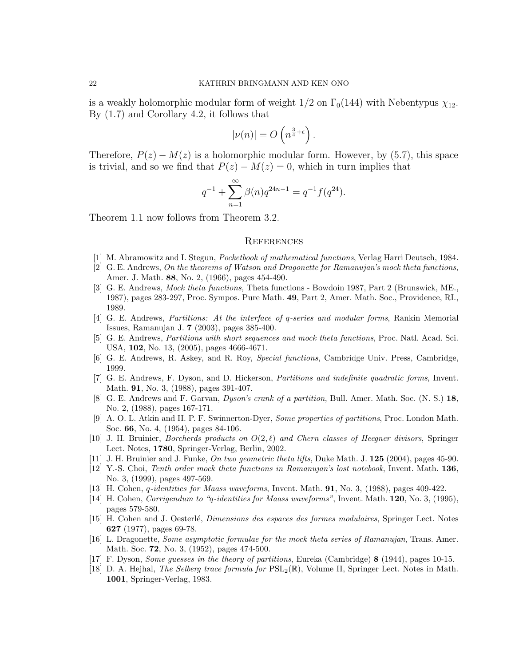is a weakly holomorphic modular form of weight  $1/2$  on  $\Gamma_0(144)$  with Nebentypus  $\chi_{12}$ . By (1.7) and Corollary 4.2, it follows that

$$
|\nu(n)| = O\left(n^{\frac{3}{4}+\epsilon}\right).
$$

Therefore,  $P(z) - M(z)$  is a holomorphic modular form. However, by (5.7), this space is trivial, and so we find that  $P(z) - M(z) = 0$ , which in turn implies that

$$
q^{-1} + \sum_{n=1}^{\infty} \beta(n) q^{24n-1} = q^{-1} f(q^{24}).
$$

Theorem 1.1 now follows from Theorem 3.2.

#### **REFERENCES**

- [1] M. Abramowitz and I. Stegun, Pocketbook of mathematical functions, Verlag Harri Deutsch, 1984.
- [2] G. E. Andrews, On the theorems of Watson and Dragonette for Ramanujan's mock theta functions, Amer. J. Math. 88, No. 2, (1966), pages 454-490.
- [3] G. E. Andrews, Mock theta functions, Theta functions Bowdoin 1987, Part 2 (Brunswick, ME., 1987), pages 283-297, Proc. Sympos. Pure Math. 49, Part 2, Amer. Math. Soc., Providence, RI., 1989.
- [4] G. E. Andrews, Partitions: At the interface of q-series and modular forms, Rankin Memorial Issues, Ramanujan J. 7 (2003), pages 385-400.
- [5] G. E. Andrews, Partitions with short sequences and mock theta functions, Proc. Natl. Acad. Sci. USA, 102, No. 13, (2005), pages 4666-4671.
- [6] G. E. Andrews, R. Askey, and R. Roy, Special functions, Cambridge Univ. Press, Cambridge, 1999.
- [7] G. E. Andrews, F. Dyson, and D. Hickerson, Partitions and indefinite quadratic forms, Invent. Math. 91, No. 3, (1988), pages 391-407.
- [8] G. E. Andrews and F. Garvan, Dyson's crank of a partition, Bull. Amer. Math. Soc. (N. S.) 18, No. 2, (1988), pages 167-171.
- [9] A. O. L. Atkin and H. P. F. Swinnerton-Dyer, Some properties of partitions, Proc. London Math. Soc. 66, No. 4, (1954), pages 84-106.
- [10] J. H. Bruinier, *Borcherds products on*  $O(2,\ell)$  and Chern classes of Heegner divisors, Springer Lect. Notes, 1780, Springer-Verlag, Berlin, 2002.
- [11] J. H. Bruinier and J. Funke, On two geometric theta lifts, Duke Math. J. 125 (2004), pages 45-90.
- [12] Y.-S. Choi, Tenth order mock theta functions in Ramanujan's lost notebook, Invent. Math. 136, No. 3, (1999), pages 497-569.
- [13] H. Cohen, q-identities for Maass waveforms, Invent. Math. 91, No. 3, (1988), pages 409-422.
- [14] H. Cohen, Corrigendum to "q-identities for Maass waveforms", Invent. Math. 120, No. 3, (1995), pages 579-580.
- [15] H. Cohen and J. Oesterl´e, Dimensions des espaces des formes modulaires, Springer Lect. Notes 627 (1977), pages 69-78.
- [16] L. Dragonette, Some asymptotic formulae for the mock theta series of Ramanujan, Trans. Amer. Math. Soc. 72, No. 3, (1952), pages 474-500.
- [17] F. Dyson, Some guesses in the theory of partitions, Eureka (Cambridge) 8 (1944), pages 10-15.
- [18] D. A. Hejhal, The Selberg trace formula for  $PSL_2(\mathbb{R})$ , Volume II, Springer Lect. Notes in Math. 1001, Springer-Verlag, 1983.